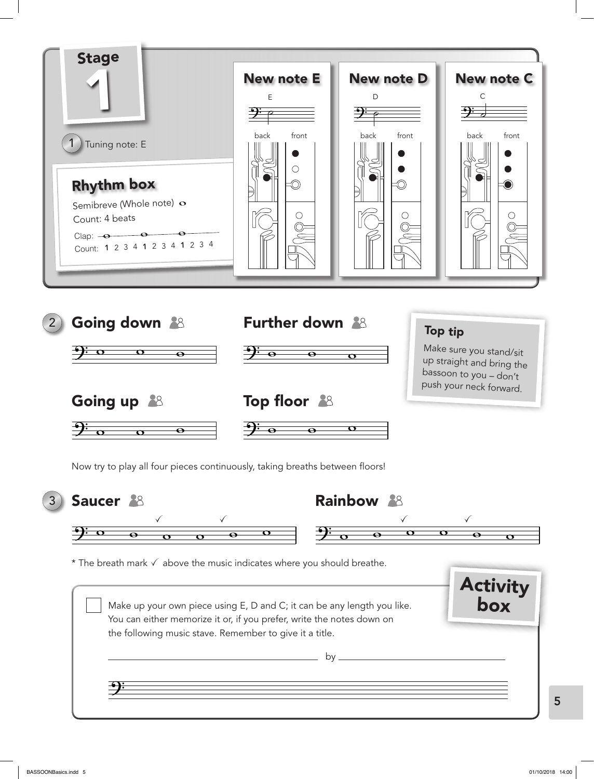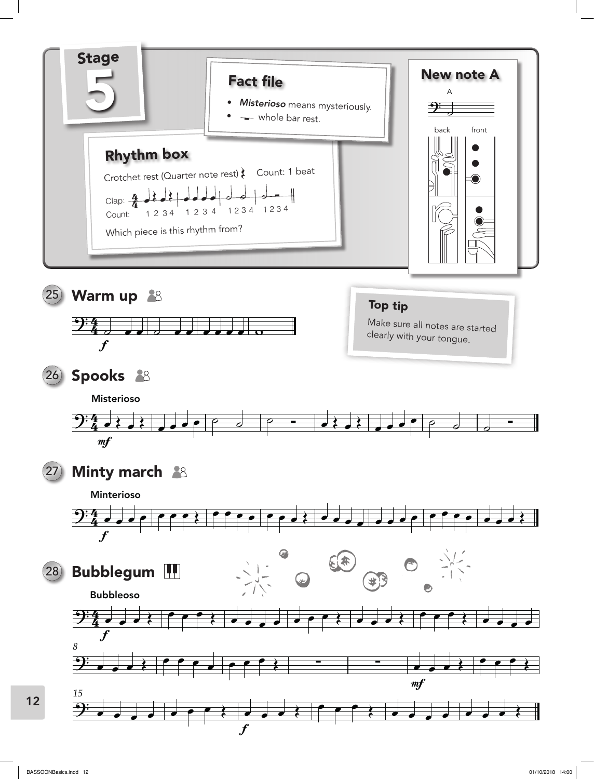